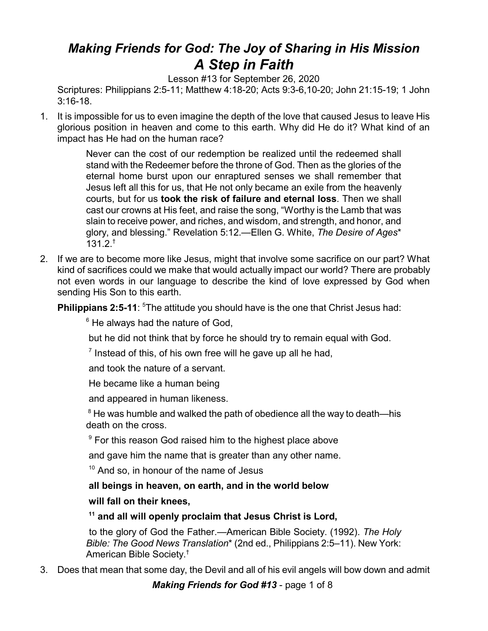# *Making Friends for God: The Joy of Sharing in His Mission A Step in Faith*

Lesson #13 for September 26, 2020

Scriptures: Philippians 2:5-11; Matthew 4:18-20; Acts 9:3-6,10-20; John 21:15-19; 1 John 3:16-18.

1. It is impossible for us to even imagine the depth of the love that caused Jesus to leave His glorious position in heaven and come to this earth. Why did He do it? What kind of an impact has He had on the human race?

> Never can the cost of our redemption be realized until the redeemed shall stand with the Redeemer before the throne of God. Then as the glories of the eternal home burst upon our enraptured senses we shall remember that Jesus left all this for us, that He not only became an exile from the heavenly courts, but for us **took the risk of failure and eternal loss**. Then we shall cast our crowns at His feet, and raise the song, "Worthy is the Lamb that was slain to receive power, and riches, and wisdom, and strength, and honor, and glory, and blessing." Revelation 5:12.—Ellen G. White, *The Desire of Ages*\* 131.2. †

2. If we are to become more like Jesus, might that involve some sacrifice on our part? What kind of sacrifices could we make that would actually impact our world? There are probably not even words in our language to describe the kind of love expressed by God when sending His Son to this earth.

**Philippians 2:5-11:** <sup>5</sup>The attitude you should have is the one that Christ Jesus had:

 $6$  He always had the nature of God,

but he did not think that by force he should try to remain equal with God.

 $7$  Instead of this, of his own free will he gave up all he had,

and took the nature of a servant.

He became like a human being

and appeared in human likeness.

 $8$  He was humble and walked the path of obedience all the way to death—his death on the cross.

<sup>9</sup> For this reason God raised him to the highest place above

and gave him the name that is greater than any other name.

<sup>10</sup> And so, in honour of the name of Jesus

**all beings in heaven, on earth, and in the world below**

## **will fall on their knees,**

**11 and all will openly proclaim that Jesus Christ is Lord,**

to the glory of God the Father.—American Bible Society. (1992). *The Holy Bible: The Good News Translation*\* (2nd ed., Philippians 2:5–11). New York: American Bible Society. †

3. Does that mean that some day, the Devil and all of his evil angels will bow down and admit

*Making Friends for God #13* - page 1 of 8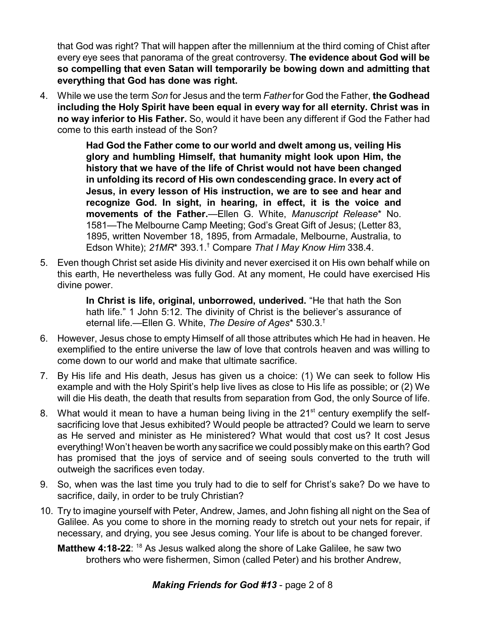that God was right? That will happen after the millennium at the third coming of Chist after every eye sees that panorama of the great controversy. **The evidence about God will be so compelling that even Satan will temporarily be bowing down and admitting that everything that God has done was right.**

4. While we use the term *Son* for Jesus and the term *Father* for God the Father, **the Godhead including the Holy Spirit have been equal in every way for all eternity. Christ was in no way inferior to His Father.** So, would it have been any different if God the Father had come to this earth instead of the Son?

> **Had God the Father come to our world and dwelt among us, veiling His glory and humbling Himself, that humanity might look upon Him, the history that we have of the life of Christ would not have been changed in unfolding its record of His own condescending grace. In every act of Jesus, in every lesson of His instruction, we are to see and hear and recognize God. In sight, in hearing, in effect, it is the voice and movements of the Father.**—Ellen G. White, *Manuscript Release*\* No. 1581—The Melbourne Camp Meeting; God's Great Gift of Jesus; (Letter 83, 1895, written November 18, 1895, from Armadale, Melbourne, Australia, to Edson White); *21MR*\* 393.1. † Compare *That I May Know Him* 338.4.

5. Even though Christ set aside His divinity and never exercised it on His own behalf while on this earth, He nevertheless was fully God. At any moment, He could have exercised His divine power.

> **In Christ is life, original, unborrowed, underived.** "He that hath the Son hath life." 1 John 5:12. The divinity of Christ is the believer's assurance of eternal life.—Ellen G. White, *The Desire of Ages*\* 530.3. †

- 6. However, Jesus chose to empty Himself of all those attributes which He had in heaven. He exemplified to the entire universe the law of love that controls heaven and was willing to come down to our world and make that ultimate sacrifice.
- 7. By His life and His death, Jesus has given us a choice: (1) We can seek to follow His example and with the Holy Spirit's help live lives as close to His life as possible; or (2) We will die His death, the death that results from separation from God, the only Source of life.
- 8. What would it mean to have a human being living in the  $21<sup>st</sup>$  century exemplify the selfsacrificing love that Jesus exhibited? Would people be attracted? Could we learn to serve as He served and minister as He ministered? What would that cost us? It cost Jesus everything! Won't heaven be worth any sacrifice we could possibly make on this earth? God has promised that the joys of service and of seeing souls converted to the truth will outweigh the sacrifices even today.
- 9. So, when was the last time you truly had to die to self for Christ's sake? Do we have to sacrifice, daily, in order to be truly Christian?
- 10. Try to imagine yourself with Peter, Andrew, James, and John fishing all night on the Sea of Galilee. As you come to shore in the morning ready to stretch out your nets for repair, if necessary, and drying, you see Jesus coming. Your life is about to be changed forever.

**Matthew 4:18-22:** <sup>18</sup> As Jesus walked along the shore of Lake Galilee, he saw two brothers who were fishermen, Simon (called Peter) and his brother Andrew,

## *Making Friends for God #13* - page 2 of 8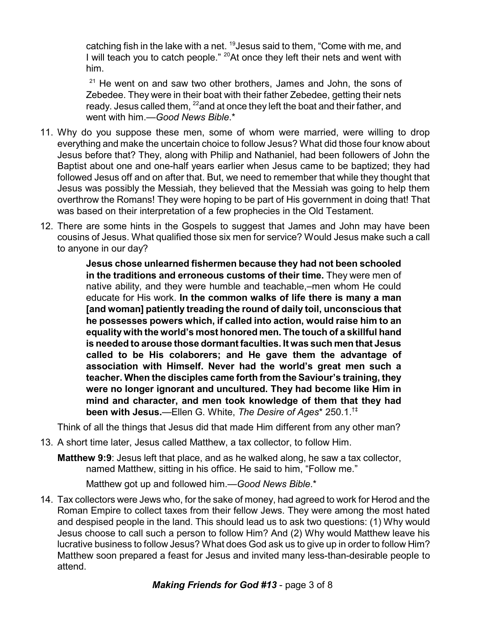catching fish in the lake with a net. <sup>19</sup>Jesus said to them, "Come with me, and I will teach you to catch people." <sup>20</sup>At once they left their nets and went with him.

 $21$  He went on and saw two other brothers, James and John, the sons of Zebedee. They were in their boat with their father Zebedee, getting their nets ready. Jesus called them, <sup>22</sup>and at once they left the boat and their father, and went with him.—*Good News Bible*.\*

- 11. Why do you suppose these men, some of whom were married, were willing to drop everything and make the uncertain choice to follow Jesus? What did those four know about Jesus before that? They, along with Philip and Nathaniel, had been followers of John the Baptist about one and one-half years earlier when Jesus came to be baptized; they had followed Jesus off and on after that. But, we need to remember that while they thought that Jesus was possibly the Messiah, they believed that the Messiah was going to help them overthrow the Romans! They were hoping to be part of His government in doing that! That was based on their interpretation of a few prophecies in the Old Testament.
- 12. There are some hints in the Gospels to suggest that James and John may have been cousins of Jesus. What qualified those six men for service? Would Jesus make such a call to anyone in our day?

**Jesus chose unlearned fishermen because they had not been schooled in the traditions and erroneous customs of their time.** They were men of native ability, and they were humble and teachable,–men whom He could educate for His work. **In the common walks of life there is many a man [and woman] patiently treading the round of daily toil, unconscious that he possesses powers which, if called into action, would raise him to an equality with the world's most honored men. The touch of a skillful hand is needed to arouse those dormant faculties. It was such men that Jesus called to be His colaborers; and He gave them the advantage of association with Himself. Never had the world's great men such a teacher. When the disciples came forth from the Saviour's training, they were no longer ignorant and uncultured. They had become like Him in mind and character, and men took knowledge of them that they had been with Jesus.**—Ellen G. White, *The Desire of Ages*\* 250.1. †‡

Think of all the things that Jesus did that made Him different from any other man?

13. A short time later, Jesus called Matthew, a tax collector, to follow Him.

**Matthew 9:9**: Jesus left that place, and as he walked along, he saw a tax collector, named Matthew, sitting in his office. He said to him, "Follow me."

Matthew got up and followed him.—*Good News Bible*.\*

14. Tax collectors were Jews who, for the sake of money, had agreed to work for Herod and the Roman Empire to collect taxes from their fellow Jews. They were among the most hated and despised people in the land. This should lead us to ask two questions: (1) Why would Jesus choose to call such a person to follow Him? And (2) Why would Matthew leave his lucrative business to follow Jesus? What does God ask us to give up in order to follow Him? Matthew soon prepared a feast for Jesus and invited many less-than-desirable people to attend.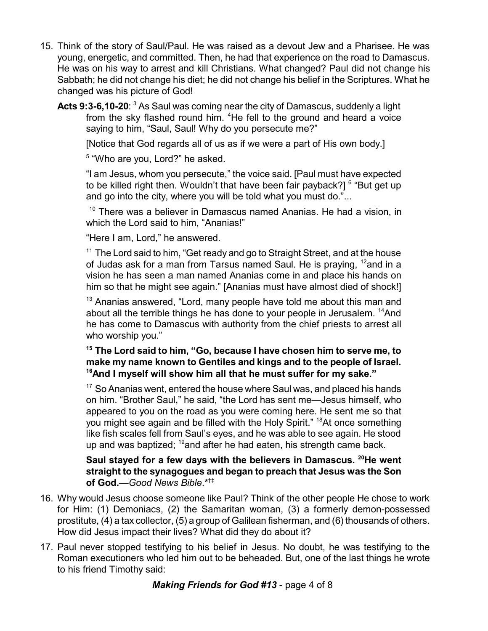- 15. Think of the story of Saul/Paul. He was raised as a devout Jew and a Pharisee. He was young, energetic, and committed. Then, he had that experience on the road to Damascus. He was on his way to arrest and kill Christians. What changed? Paul did not change his Sabbath; he did not change his diet; he did not change his belief in the Scriptures. What he changed was his picture of God!
	- **Acts 9:3-6,10-20**: <sup>3</sup> As Saul was coming near the city of Damascus, suddenly a light from the sky flashed round him. <sup>4</sup>He fell to the ground and heard a voice saying to him, "Saul, Saul! Why do you persecute me?"

[Notice that God regards all of us as if we were a part of His own body.]

<sup>5</sup> "Who are you, Lord?" he asked.

"I am Jesus, whom you persecute," the voice said. [Paul must have expected to be killed right then. Wouldn't that have been fair payback?] <sup>6</sup> "But get up and go into the city, where you will be told what you must do."...

 $10$  There was a believer in Damascus named Ananias. He had a vision, in which the Lord said to him, "Ananias!"

"Here I am, Lord," he answered.

<sup>11</sup> The Lord said to him, "Get ready and go to Straight Street, and at the house of Judas ask for a man from Tarsus named Saul. He is praying, <sup>12</sup>and in a vision he has seen a man named Ananias come in and place his hands on him so that he might see again." [Ananias must have almost died of shock!]

<sup>13</sup> Ananias answered, "Lord, many people have told me about this man and about all the terrible things he has done to your people in Jerusalem.  $^{14}$ And he has come to Damascus with authority from the chief priests to arrest all who worship you."

### **15 The Lord said to him, "Go, because I have chosen him to serve me, to make my name known to Gentiles and kings and to the people of Israel. <sup>16</sup>And I myself will show him all that he must suffer for my sake."**

 $17$  So Ananias went, entered the house where Saul was, and placed his hands on him. "Brother Saul," he said, "the Lord has sent me—Jesus himself, who appeared to you on the road as you were coming here. He sent me so that you might see again and be filled with the Holy Spirit." <sup>18</sup>At once something like fish scales fell from Saul's eyes, and he was able to see again. He stood up and was baptized; <sup>19</sup>and after he had eaten, his strength came back.

#### **Saul stayed for a few days with the believers in Damascus. <sup>20</sup>He went straight to the synagogues and began to preach that Jesus was the Son of God.**—*Good News Bible*.\*†‡

- 16. Why would Jesus choose someone like Paul? Think of the other people He chose to work for Him: (1) Demoniacs, (2) the Samaritan woman, (3) a formerly demon-possessed prostitute, (4) a tax collector, (5) a group of Galilean fisherman, and (6) thousands of others. How did Jesus impact their lives? What did they do about it?
- 17. Paul never stopped testifying to his belief in Jesus. No doubt, he was testifying to the Roman executioners who led him out to be beheaded. But, one of the last things he wrote to his friend Timothy said: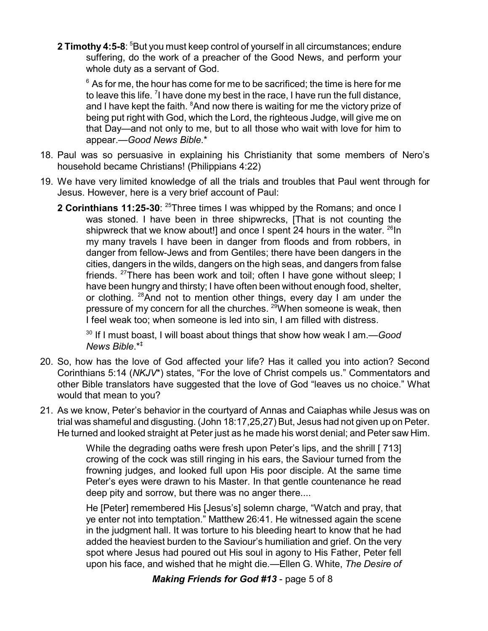**2 Timothy 4:5-8:** <sup>5</sup>But you must keep control of yourself in all circumstances; endure suffering, do the work of a preacher of the Good News, and perform your whole duty as a servant of God.

 $^{\rm 6}$  As for me, the hour has come for me to be sacrificed; the time is here for me to leave this life.  $\frac{7}{1}$  have done my best in the race, I have run the full distance, and I have kept the faith. <sup>8</sup>And now there is waiting for me the victory prize of being put right with God, which the Lord, the righteous Judge, will give me on that Day—and not only to me, but to all those who wait with love for him to appear.—*Good News Bible*.\*

- 18. Paul was so persuasive in explaining his Christianity that some members of Nero's household became Christians! (Philippians 4:22)
- 19. We have very limited knowledge of all the trials and troubles that Paul went through for Jesus. However, here is a very brief account of Paul:
	- **2 Corinthians 11:25-30:** <sup>25</sup>Three times I was whipped by the Romans; and once I was stoned. I have been in three shipwrecks, [That is not counting the shipwreck that we know about!] and once I spent 24 hours in the water. <sup>26</sup>In my many travels I have been in danger from floods and from robbers, in danger from fellow-Jews and from Gentiles; there have been dangers in the cities, dangers in the wilds, dangers on the high seas, and dangers from false friends. <sup>27</sup>There has been work and toil; often I have gone without sleep; I have been hungry and thirsty; I have often been without enough food, shelter, or clothing. <sup>28</sup>And not to mention other things, every day I am under the pressure of my concern for all the churches. <sup>29</sup>When someone is weak, then I feel weak too; when someone is led into sin, I am filled with distress.

30 If I must boast, I will boast about things that show how weak I am.—*Good News Bible*.\*‡

- 20. So, how has the love of God affected your life? Has it called you into action? Second Corinthians 5:14 (*NKJV*\*) states, "For the love of Christ compels us." Commentators and other Bible translators have suggested that the love of God "leaves us no choice." What would that mean to you?
- 21. As we know, Peter's behavior in the courtyard of Annas and Caiaphas while Jesus was on trial was shameful and disgusting. (John 18:17,25,27) But, Jesus had not given up on Peter. He turned and looked straight at Peter just as he made his worst denial; and Peter saw Him.

While the degrading oaths were fresh upon Peter's lips, and the shrill [ 713] crowing of the cock was still ringing in his ears, the Saviour turned from the frowning judges, and looked full upon His poor disciple. At the same time Peter's eyes were drawn to his Master. In that gentle countenance he read deep pity and sorrow, but there was no anger there....

He [Peter] remembered His [Jesus's] solemn charge, "Watch and pray, that ye enter not into temptation." Matthew 26:41. He witnessed again the scene in the judgment hall. It was torture to his bleeding heart to know that he had added the heaviest burden to the Saviour's humiliation and grief. On the very spot where Jesus had poured out His soul in agony to His Father, Peter fell upon his face, and wished that he might die.—Ellen G. White, *The Desire of*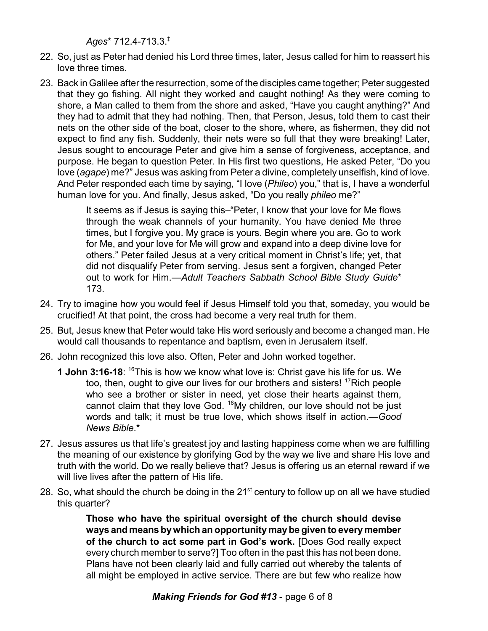*Ages*\* 712.4-713.3. ‡

- 22. So, just as Peter had denied his Lord three times, later, Jesus called for him to reassert his love three times.
- 23. Back in Galilee after the resurrection, some of the disciples came together; Peter suggested that they go fishing. All night they worked and caught nothing! As they were coming to shore, a Man called to them from the shore and asked, "Have you caught anything?" And they had to admit that they had nothing. Then, that Person, Jesus, told them to cast their nets on the other side of the boat, closer to the shore, where, as fishermen, they did not expect to find any fish. Suddenly, their nets were so full that they were breaking! Later, Jesus sought to encourage Peter and give him a sense of forgiveness, acceptance, and purpose. He began to question Peter. In His first two questions, He asked Peter, "Do you love (*agape*) me?" Jesus was asking from Peter a divine, completely unselfish, kind of love. And Peter responded each time by saying, "I love (*Phileo*) you," that is, I have a wonderful human love for you. And finally, Jesus asked, "Do you really *phileo* me?"

It seems as if Jesus is saying this–"Peter, I know that your love for Me flows through the weak channels of your humanity. You have denied Me three times, but I forgive you. My grace is yours. Begin where you are. Go to work for Me, and your love for Me will grow and expand into a deep divine love for others." Peter failed Jesus at a very critical moment in Christ's life; yet, that did not disqualify Peter from serving. Jesus sent a forgiven, changed Peter out to work for Him.—*Adult Teachers Sabbath School Bible Study Guide*\* 173.

- 24. Try to imagine how you would feel if Jesus Himself told you that, someday, you would be crucified! At that point, the cross had become a very real truth for them.
- 25. But, Jesus knew that Peter would take His word seriously and become a changed man. He would call thousands to repentance and baptism, even in Jerusalem itself.
- 26. John recognized this love also. Often, Peter and John worked together.
	- **1 John 3:16-18:** <sup>16</sup>This is how we know what love is: Christ gave his life for us. We too, then, ought to give our lives for our brothers and sisters! <sup>17</sup>Rich people who see a brother or sister in need, yet close their hearts against them, cannot claim that they love God. <sup>18</sup>My children, our love should not be just words and talk; it must be true love, which shows itself in action.—*Good News Bible*.\*
- 27. Jesus assures us that life's greatest joy and lasting happiness come when we are fulfilling the meaning of our existence by glorifying God by the way we live and share His love and truth with the world. Do we really believe that? Jesus is offering us an eternal reward if we will live lives after the pattern of His life.
- 28. So, what should the church be doing in the 21<sup>st</sup> century to follow up on all we have studied this quarter?

**Those who have the spiritual oversight of the church should devise ways and means bywhich an opportunitymaybe given to everymember of the church to act some part in God's work.** [Does God really expect every church member to serve?] Too often in the past this has not been done. Plans have not been clearly laid and fully carried out whereby the talents of all might be employed in active service. There are but few who realize how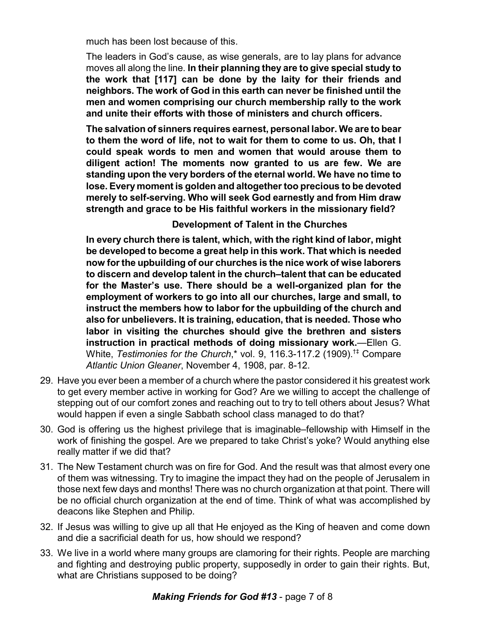much has been lost because of this.

The leaders in God's cause, as wise generals, are to lay plans for advance moves all along the line. **In their planning they are to give special study to the work that [117] can be done by the laity for their friends and neighbors. The work of God in this earth can never be finished until the men and women comprising our church membership rally to the work and unite their efforts with those of ministers and church officers.**

**The salvation of sinners requires earnest, personal labor. We are to bear to them the word of life, not to wait for them to come to us. Oh, that I could speak words to men and women that would arouse them to diligent action! The moments now granted to us are few. We are standing upon the very borders of the eternal world. We have no time to lose. Every moment is golden and altogether too precious to be devoted merely to self-serving. Who will seek God earnestly and from Him draw strength and grace to be His faithful workers in the missionary field?**

## **Development of Talent in the Churches**

**In every church there is talent, which, with the right kind of labor, might be developed to become a great help in this work. That which is needed now for the upbuilding of our churches is the nice work of wise laborers to discern and develop talent in the church–talent that can be educated for the Master's use. There should be a well-organized plan for the employment of workers to go into all our churches, large and small, to instruct the members how to labor for the upbuilding of the church and also for unbelievers. It is training, education, that is needed. Those who labor in visiting the churches should give the brethren and sisters instruction in practical methods of doing missionary work.**—Ellen G. White, *Testimonies for the Church*,\* vol. 9, 116.3-117.2 (1909).†‡ Compare *Atlantic Union Gleaner*, November 4, 1908, par. 8-12.

- 29. Have you ever been a member of a church where the pastor considered it his greatest work to get every member active in working for God? Are we willing to accept the challenge of stepping out of our comfort zones and reaching out to try to tell others about Jesus? What would happen if even a single Sabbath school class managed to do that?
- 30. God is offering us the highest privilege that is imaginable–fellowship with Himself in the work of finishing the gospel. Are we prepared to take Christ's yoke? Would anything else really matter if we did that?
- 31. The New Testament church was on fire for God. And the result was that almost every one of them was witnessing. Try to imagine the impact they had on the people of Jerusalem in those next few days and months! There was no church organization at that point. There will be no official church organization at the end of time. Think of what was accomplished by deacons like Stephen and Philip.
- 32. If Jesus was willing to give up all that He enjoyed as the King of heaven and come down and die a sacrificial death for us, how should we respond?
- 33. We live in a world where many groups are clamoring for their rights. People are marching and fighting and destroying public property, supposedly in order to gain their rights. But, what are Christians supposed to be doing?